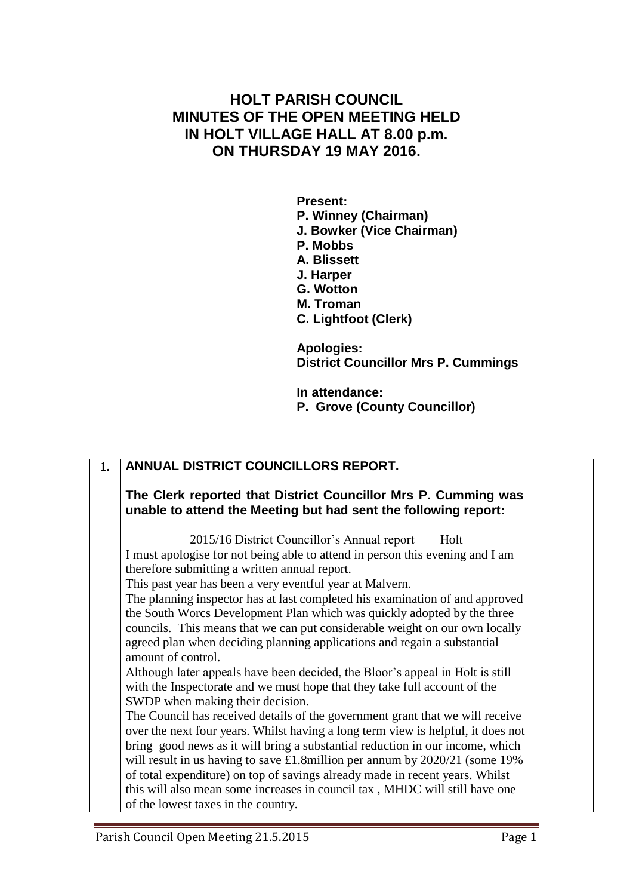## **HOLT PARISH COUNCIL MINUTES OF THE OPEN MEETING HELD IN HOLT VILLAGE HALL AT 8.00 p.m. ON THURSDAY 19 MAY 2016.**

**Present: P. Winney (Chairman) J. Bowker (Vice Chairman) P. Mobbs A. Blissett J. Harper G. Wotton M. Troman C. Lightfoot (Clerk)**

**Apologies: District Councillor Mrs P. Cummings**

**In attendance: P. Grove (County Councillor)**

| 1. | ANNUAL DISTRICT COUNCILLORS REPORT.                                                                                                                                                                                                                                                                                                                                                                                                                                                                                                                                                                                                                                                                                                                                                                                                                                                                                                                                                                                                                                                                                                                                                                                                                                                                           |  |
|----|---------------------------------------------------------------------------------------------------------------------------------------------------------------------------------------------------------------------------------------------------------------------------------------------------------------------------------------------------------------------------------------------------------------------------------------------------------------------------------------------------------------------------------------------------------------------------------------------------------------------------------------------------------------------------------------------------------------------------------------------------------------------------------------------------------------------------------------------------------------------------------------------------------------------------------------------------------------------------------------------------------------------------------------------------------------------------------------------------------------------------------------------------------------------------------------------------------------------------------------------------------------------------------------------------------------|--|
|    | The Clerk reported that District Councillor Mrs P. Cumming was<br>unable to attend the Meeting but had sent the following report:                                                                                                                                                                                                                                                                                                                                                                                                                                                                                                                                                                                                                                                                                                                                                                                                                                                                                                                                                                                                                                                                                                                                                                             |  |
|    | 2015/16 District Councillor's Annual report<br>Holt<br>I must apologise for not being able to attend in person this evening and I am<br>therefore submitting a written annual report.<br>This past year has been a very eventful year at Malvern.<br>The planning inspector has at last completed his examination of and approved<br>the South Worcs Development Plan which was quickly adopted by the three<br>councils. This means that we can put considerable weight on our own locally<br>agreed plan when deciding planning applications and regain a substantial<br>amount of control.<br>Although later appeals have been decided, the Bloor's appeal in Holt is still<br>with the Inspectorate and we must hope that they take full account of the<br>SWDP when making their decision.<br>The Council has received details of the government grant that we will receive<br>over the next four years. Whilst having a long term view is helpful, it does not<br>bring good news as it will bring a substantial reduction in our income, which<br>will result in us having to save $\pounds$ 1.8 million per annum by 2020/21 (some 19%<br>of total expenditure) on top of savings already made in recent years. Whilst<br>this will also mean some increases in council tax, MHDC will still have one |  |
|    | of the lowest taxes in the country.                                                                                                                                                                                                                                                                                                                                                                                                                                                                                                                                                                                                                                                                                                                                                                                                                                                                                                                                                                                                                                                                                                                                                                                                                                                                           |  |